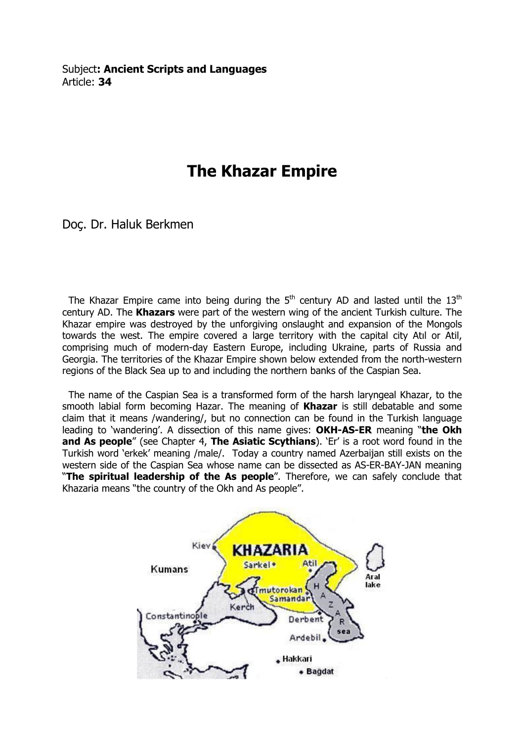Subject: Ancient Scripts and Languages Article: 34

# The Khazar Empire

Doç. Dr. Haluk Berkmen

The Khazar Empire came into being during the  $5<sup>th</sup>$  century AD and lasted until the  $13<sup>th</sup>$ century AD. The Khazars were part of the western wing of the ancient Turkish culture. The Khazar empire was destroyed by the unforgiving onslaught and expansion of the Mongols towards the west. The empire covered a large territory with the capital city Atıl or Atil, comprising much of modern-day Eastern Europe, including Ukraine, parts of Russia and Georgia. The territories of the Khazar Empire shown below extended from the north-western regions of the Black Sea up to and including the northern banks of the Caspian Sea.

 The name of the Caspian Sea is a transformed form of the harsh laryngeal Khazar, to the smooth labial form becoming Hazar. The meaning of Khazar is still debatable and some claim that it means /wandering/, but no connection can be found in the Turkish language leading to 'wandering'. A dissection of this name gives: OKH-AS-ER meaning "the Okh and As people" (see Chapter 4, The Asiatic Scythians). 'Er' is a root word found in the Turkish word 'erkek' meaning /male/. Today a country named Azerbaijan still exists on the western side of the Caspian Sea whose name can be dissected as AS-ER-BAY-JAN meaning "The spiritual leadership of the As people". Therefore, we can safely conclude that Khazaria means "the country of the Okh and As people".

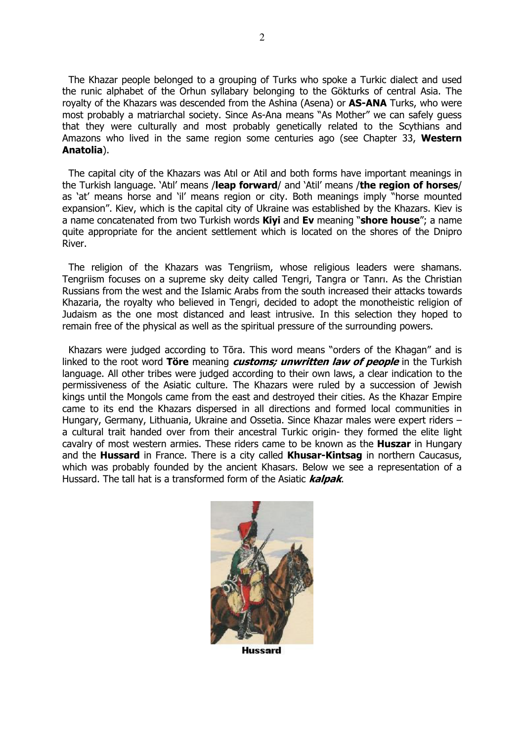The Khazar people belonged to a grouping of Turks who spoke a Turkic dialect and used the runic alphabet of the Orhun syllabary belonging to the Gökturks of central Asia. The rovalty of the Khazars was descended from the Ashina (Asena) or **AS-ANA** Turks, who were most probably a matriarchal society. Since As-Ana means "As Mother" we can safely guess that they were culturally and most probably genetically related to the Scythians and Amazons who lived in the same region some centuries ago (see Chapter 33, Western Anatolia).

2

 The capital city of the Khazars was Atıl or Atil and both forms have important meanings in the Turkish language. 'Atil' means /leap forward/ and 'Atil' means /the region of horses/ as 'at' means horse and 'il' means region or city. Both meanings imply "horse mounted expansion". Kiev, which is the capital city of Ukraine was established by the Khazars. Kiev is a name concatenated from two Turkish words **Kiyi** and Ev meaning "shore house"; a name quite appropriate for the ancient settlement which is located on the shores of the Dnipro River.

 The religion of the Khazars was Tengriism, whose religious leaders were shamans. Tengriism focuses on a supreme sky deity called Tengri, Tangra or Tanrı. As the Christian Russians from the west and the Islamic Arabs from the south increased their attacks towards Khazaria, the royalty who believed in Tengri, decided to adopt the monotheistic religion of Judaism as the one most distanced and least intrusive. In this selection they hoped to remain free of the physical as well as the spiritual pressure of the surrounding powers.

 Khazars were judged according to Tōra. This word means "orders of the Khagan" and is linked to the root word Töre meaning *customs; unwritten law of people* in the Turkish language. All other tribes were judged according to their own laws, a clear indication to the permissiveness of the Asiatic culture. The Khazars were ruled by a succession of Jewish kings until the Mongols came from the east and destroyed their cities. As the Khazar Empire came to its end the Khazars dispersed in all directions and formed local communities in Hungary, Germany, Lithuania, Ukraine and Ossetia. Since Khazar males were expert riders – a cultural trait handed over from their ancestral Turkic origin- they formed the elite light cavalry of most western armies. These riders came to be known as the **Huszar** in Hungary and the Hussard in France. There is a city called Khusar-Kintsag in northern Caucasus, which was probably founded by the ancient Khasars. Below we see a representation of a Hussard. The tall hat is a transformed form of the Asiatic **kalpak**.



**Hussard**